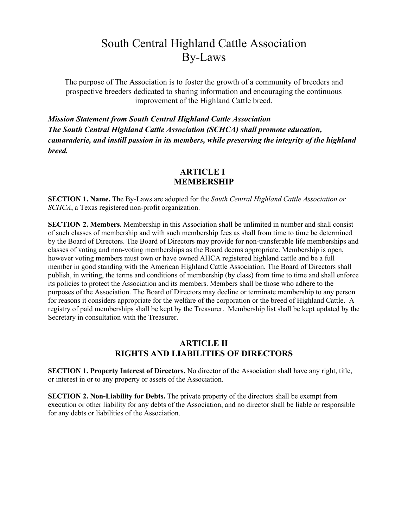# South Central Highland Cattle Association By-Laws

The purpose of The Association is to foster the growth of a community of breeders and prospective breeders dedicated to sharing information and encouraging the continuous improvement of the Highland Cattle breed.

*Mission Statement from South Central Highland Cattle Association The South Central Highland Cattle Association (SCHCA) shall promote education, camaraderie, and instill passion in its members, while preserving the integrity of the highland breed.*

## **ARTICLE I MEMBERSHIP**

**SECTION 1. Name.** The By-Laws are adopted for the *South Central Highland Cattle Association or SCHCA*, a Texas registered non-profit organization.

**SECTION 2. Members.** Membership in this Association shall be unlimited in number and shall consist of such classes of membership and with such membership fees as shall from time to time be determined by the Board of Directors. The Board of Directors may provide for non-transferable life memberships and classes of voting and non-voting memberships as the Board deems appropriate. Membership is open, however voting members must own or have owned AHCA registered highland cattle and be a full member in good standing with the American Highland Cattle Association. The Board of Directors shall publish, in writing, the terms and conditions of membership (by class) from time to time and shall enforce its policies to protect the Association and its members. Members shall be those who adhere to the purposes of the Association. The Board of Directors may decline or terminate membership to any person for reasons it considers appropriate for the welfare of the corporation or the breed of Highland Cattle. A registry of paid memberships shall be kept by the Treasurer. Membership list shall be kept updated by the Secretary in consultation with the Treasurer.

## **ARTICLE II RIGHTS AND LIABILITIES OF DIRECTORS**

**SECTION 1. Property Interest of Directors.** No director of the Association shall have any right, title, or interest in or to any property or assets of the Association.

**SECTION 2. Non-Liability for Debts.** The private property of the directors shall be exempt from execution or other liability for any debts of the Association, and no director shall be liable or responsible for any debts or liabilities of the Association.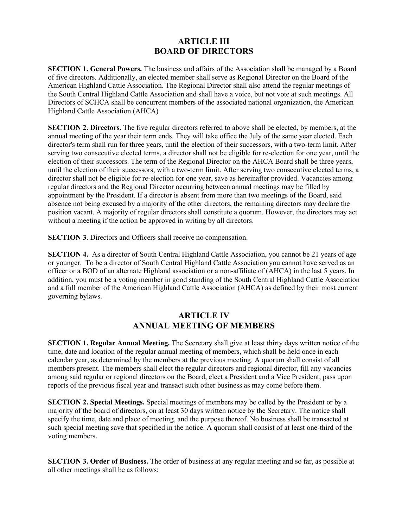## **ARTICLE III BOARD OF DIRECTORS**

**SECTION 1. General Powers.** The business and affairs of the Association shall be managed by a Board of five directors. Additionally, an elected member shall serve as Regional Director on the Board of the American Highland Cattle Association. The Regional Director shall also attend the regular meetings of the South Central Highland Cattle Association and shall have a voice, but not vote at such meetings. All Directors of SCHCA shall be concurrent members of the associated national organization, the American Highland Cattle Association (AHCA)

**SECTION 2. Directors.** The five regular directors referred to above shall be elected, by members, at the annual meeting of the year their term ends. They will take office the July of the same year elected. Each director's term shall run for three years, until the election of their successors, with a two-term limit. After serving two consecutive elected terms, a director shall not be eligible for re-election for one year, until the election of their successors. The term of the Regional Director on the AHCA Board shall be three years, until the election of their successors, with a two-term limit. After serving two consecutive elected terms, a director shall not be eligible for re-election for one year, save as hereinafter provided. Vacancies among regular directors and the Regional Director occurring between annual meetings may be filled by appointment by the President. If a director is absent from more than two meetings of the Board, said absence not being excused by a majority of the other directors, the remaining directors may declare the position vacant. A majority of regular directors shall constitute a quorum. However, the directors may act without a meeting if the action be approved in writing by all directors.

**SECTION 3**. Directors and Officers shall receive no compensation.

**SECTION 4.** As a director of South Central Highland Cattle Association, you cannot be 21 years of age or younger. To be a director of South Central Highland Cattle Association you cannot have served as an officer or a BOD of an alternate Highland association or a non-affiliate of (AHCA) in the last 5 years. In addition, you must be a voting member in good standing of the South Central Highland Cattle Association and a full member of the American Highland Cattle Association (AHCA) as defined by their most current governing bylaws.

## **ARTICLE IV ANNUAL MEETING OF MEMBERS**

**SECTION 1. Regular Annual Meeting.** The Secretary shall give at least thirty days written notice of the time, date and location of the regular annual meeting of members, which shall be held once in each calendar year, as determined by the members at the previous meeting. A quorum shall consist of all members present. The members shall elect the regular directors and regional director, fill any vacancies among said regular or regional directors on the Board, elect a President and a Vice President, pass upon reports of the previous fiscal year and transact such other business as may come before them.

**SECTION 2. Special Meetings.** Special meetings of members may be called by the President or by a majority of the board of directors, on at least 30 days written notice by the Secretary. The notice shall specify the time, date and place of meeting, and the purpose thereof. No business shall be transacted at such special meeting save that specified in the notice. A quorum shall consist of at least one-third of the voting members.

**SECTION 3. Order of Business.** The order of business at any regular meeting and so far, as possible at all other meetings shall be as follows: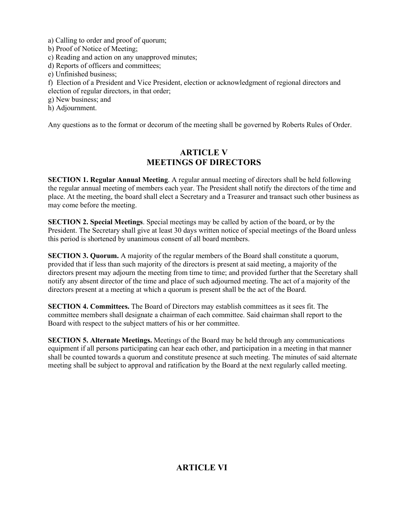a) Calling to order and proof of quorum;

b) Proof of Notice of Meeting;

c) Reading and action on any unapproved minutes;

- d) Reports of officers and committees;
- e) Unfinished business;
- f) Election of a President and Vice President, election or acknowledgment of regional directors and election of regular directors, in that order;
- g) New business; and
- h) Adjournment.

Any questions as to the format or decorum of the meeting shall be governed by Roberts Rules of Order.

## **ARTICLE V MEETINGS OF DIRECTORS**

**SECTION 1. Regular Annual Meeting**. A regular annual meeting of directors shall be held following the regular annual meeting of members each year. The President shall notify the directors of the time and place. At the meeting, the board shall elect a Secretary and a Treasurer and transact such other business as may come before the meeting.

**SECTION 2. Special Meetings**. Special meetings may be called by action of the board, or by the President. The Secretary shall give at least 30 days written notice of special meetings of the Board unless this period is shortened by unanimous consent of all board members.

**SECTION 3. Quorum.** A majority of the regular members of the Board shall constitute a quorum, provided that if less than such majority of the directors is present at said meeting, a majority of the directors present may adjourn the meeting from time to time; and provided further that the Secretary shall notify any absent director of the time and place of such adjourned meeting. The act of a majority of the directors present at a meeting at which a quorum is present shall be the act of the Board.

**SECTION 4. Committees.** The Board of Directors may establish committees as it sees fit. The committee members shall designate a chairman of each committee. Said chairman shall report to the Board with respect to the subject matters of his or her committee.

**SECTION 5. Alternate Meetings.** Meetings of the Board may be held through any communications equipment if all persons participating can hear each other, and participation in a meeting in that manner shall be counted towards a quorum and constitute presence at such meeting. The minutes of said alternate meeting shall be subject to approval and ratification by the Board at the next regularly called meeting.

# **ARTICLE VI**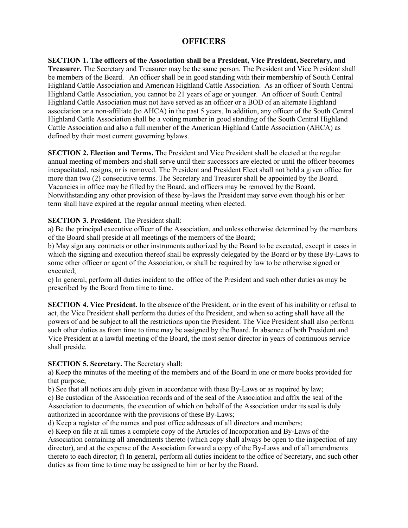## **OFFICERS**

**SECTION 1. The officers of the Association shall be a President, Vice President, Secretary, and Treasurer.** The Secretary and Treasurer may be the same person. The President and Vice President shall be members of the Board. An officer shall be in good standing with their membership of South Central Highland Cattle Association and American Highland Cattle Association. As an officer of South Central Highland Cattle Association, you cannot be 21 years of age or younger. An officer of South Central Highland Cattle Association must not have served as an officer or a BOD of an alternate Highland association or a non-affiliate (to AHCA) in the past 5 years. In addition, any officer of the South Central Highland Cattle Association shall be a voting member in good standing of the South Central Highland Cattle Association and also a full member of the American Highland Cattle Association (AHCA) as defined by their most current governing bylaws.

**SECTION 2. Election and Terms.** The President and Vice President shall be elected at the regular annual meeting of members and shall serve until their successors are elected or until the officer becomes incapacitated, resigns, or is removed. The President and President Elect shall not hold a given office for more than two (2) consecutive terms. The Secretary and Treasurer shall be appointed by the Board. Vacancies in office may be filled by the Board, and officers may be removed by the Board. Notwithstanding any other provision of these by-laws the President may serve even though his or her term shall have expired at the regular annual meeting when elected.

#### **SECTION 3. President.** The President shall:

a) Be the principal executive officer of the Association, and unless otherwise determined by the members of the Board shall preside at all meetings of the members of the Board;

b) May sign any contracts or other instruments authorized by the Board to be executed, except in cases in which the signing and execution thereof shall be expressly delegated by the Board or by these By-Laws to some other officer or agent of the Association, or shall be required by law to be otherwise signed or executed;

c) In general, perform all duties incident to the office of the President and such other duties as may be prescribed by the Board from time to time.

**SECTION 4. Vice President.** In the absence of the President, or in the event of his inability or refusal to act, the Vice President shall perform the duties of the President, and when so acting shall have all the powers of and be subject to all the restrictions upon the President. The Vice President shall also perform such other duties as from time to time may be assigned by the Board. In absence of both President and Vice President at a lawful meeting of the Board, the most senior director in years of continuous service shall preside.

#### **SECTION 5. Secretary.** The Secretary shall:

a) Keep the minutes of the meeting of the members and of the Board in one or more books provided for that purpose;

b) See that all notices are duly given in accordance with these By-Laws or as required by law;

c) Be custodian of the Association records and of the seal of the Association and affix the seal of the Association to documents, the execution of which on behalf of the Association under its seal is duly authorized in accordance with the provisions of these By-Laws;

d) Keep a register of the names and post office addresses of all directors and members;

e) Keep on file at all times a complete copy of the Articles of Incorporation and By-Laws of the Association containing all amendments thereto (which copy shall always be open to the inspection of any director), and at the expense of the Association forward a copy of the By-Laws and of all amendments thereto to each director; f) In general, perform all duties incident to the office of Secretary, and such other duties as from time to time may be assigned to him or her by the Board.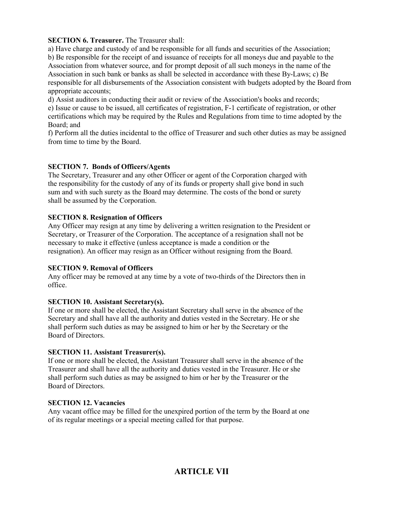#### **SECTION 6. Treasurer.** The Treasurer shall:

a) Have charge and custody of and be responsible for all funds and securities of the Association; b) Be responsible for the receipt of and issuance of receipts for all moneys due and payable to the Association from whatever source, and for prompt deposit of all such moneys in the name of the Association in such bank or banks as shall be selected in accordance with these By-Laws; c) Be responsible for all disbursements of the Association consistent with budgets adopted by the Board from appropriate accounts;

d) Assist auditors in conducting their audit or review of the Association's books and records; e) Issue or cause to be issued, all certificates of registration, F-1 certificate of registration, or other

certifications which may be required by the Rules and Regulations from time to time adopted by the Board; and

f) Perform all the duties incidental to the office of Treasurer and such other duties as may be assigned from time to time by the Board.

#### **SECTION 7. Bonds of Officers/Agents**

The Secretary, Treasurer and any other Officer or agent of the Corporation charged with the responsibility for the custody of any of its funds or property shall give bond in such sum and with such surety as the Board may determine. The costs of the bond or surety shall be assumed by the Corporation.

#### **SECTION 8. Resignation of Officers**

Any Officer may resign at any time by delivering a written resignation to the President or Secretary, or Treasurer of the Corporation. The acceptance of a resignation shall not be necessary to make it effective (unless acceptance is made a condition or the resignation). An officer may resign as an Officer without resigning from the Board.

#### **SECTION 9. Removal of Officers**

Any officer may be removed at any time by a vote of two-thirds of the Directors then in office.

#### **SECTION 10. Assistant Secretary(s).**

If one or more shall be elected, the Assistant Secretary shall serve in the absence of the Secretary and shall have all the authority and duties vested in the Secretary. He or she shall perform such duties as may be assigned to him or her by the Secretary or the Board of Directors.

#### **SECTION 11. Assistant Treasurer(s).**

If one or more shall be elected, the Assistant Treasurer shall serve in the absence of the Treasurer and shall have all the authority and duties vested in the Treasurer. He or she shall perform such duties as may be assigned to him or her by the Treasurer or the Board of Directors.

#### **SECTION 12. Vacancies**

Any vacant office may be filled for the unexpired portion of the term by the Board at one of its regular meetings or a special meeting called for that purpose.

# **ARTICLE VII**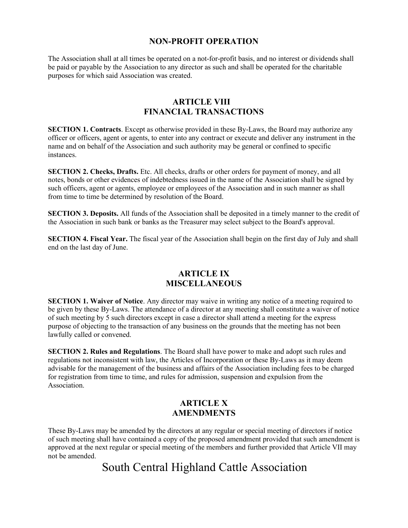## **NON-PROFIT OPERATION**

The Association shall at all times be operated on a not-for-profit basis, and no interest or dividends shall be paid or payable by the Association to any director as such and shall be operated for the charitable purposes for which said Association was created.

## **ARTICLE VIII FINANCIAL TRANSACTIONS**

**SECTION 1. Contracts**. Except as otherwise provided in these By-Laws, the Board may authorize any officer or officers, agent or agents, to enter into any contract or execute and deliver any instrument in the name and on behalf of the Association and such authority may be general or confined to specific instances.

**SECTION 2. Checks, Drafts.** Etc. All checks, drafts or other orders for payment of money, and all notes, bonds or other evidences of indebtedness issued in the name of the Association shall be signed by such officers, agent or agents, employee or employees of the Association and in such manner as shall from time to time be determined by resolution of the Board.

**SECTION 3. Deposits.** All funds of the Association shall be deposited in a timely manner to the credit of the Association in such bank or banks as the Treasurer may select subject to the Board's approval.

**SECTION 4. Fiscal Year.** The fiscal year of the Association shall begin on the first day of July and shall end on the last day of June.

## **ARTICLE IX MISCELLANEOUS**

**SECTION 1. Waiver of Notice**. Any director may waive in writing any notice of a meeting required to be given by these By-Laws. The attendance of a director at any meeting shall constitute a waiver of notice of such meeting by 5 such directors except in case a director shall attend a meeting for the express purpose of objecting to the transaction of any business on the grounds that the meeting has not been lawfully called or convened.

**SECTION 2. Rules and Regulations**. The Board shall have power to make and adopt such rules and regulations not inconsistent with law, the Articles of Incorporation or these By-Laws as it may deem advisable for the management of the business and affairs of the Association including fees to be charged for registration from time to time, and rules for admission, suspension and expulsion from the Association.

## **ARTICLE X AMENDMENTS**

These By-Laws may be amended by the directors at any regular or special meeting of directors if notice of such meeting shall have contained a copy of the proposed amendment provided that such amendment is approved at the next regular or special meeting of the members and further provided that Article VII may not be amended.

# South Central Highland Cattle Association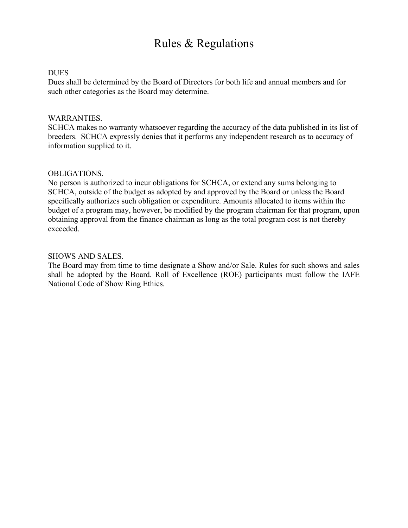# Rules & Regulations

### DUES

Dues shall be determined by the Board of Directors for both life and annual members and for such other categories as the Board may determine.

#### WARRANTIES.

SCHCA makes no warranty whatsoever regarding the accuracy of the data published in its list of breeders. SCHCA expressly denies that it performs any independent research as to accuracy of information supplied to it.

#### OBLIGATIONS.

No person is authorized to incur obligations for SCHCA, or extend any sums belonging to SCHCA, outside of the budget as adopted by and approved by the Board or unless the Board specifically authorizes such obligation or expenditure. Amounts allocated to items within the budget of a program may, however, be modified by the program chairman for that program, upon obtaining approval from the finance chairman as long as the total program cost is not thereby exceeded.

#### SHOWS AND SALES.

The Board may from time to time designate a Show and/or Sale. Rules for such shows and sales shall be adopted by the Board. Roll of Excellence (ROE) participants must follow the IAFE National Code of Show Ring Ethics.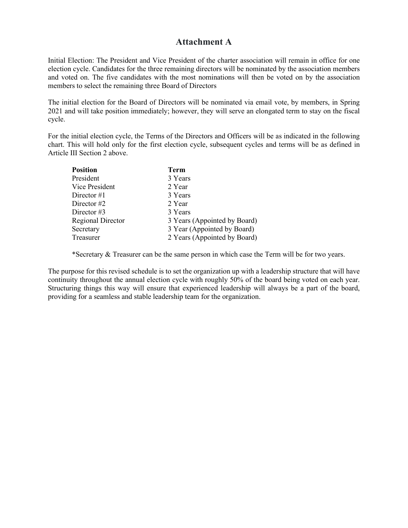## **Attachment A**

Initial Election: The President and Vice President of the charter association will remain in office for one election cycle. Candidates for the three remaining directors will be nominated by the association members and voted on. The five candidates with the most nominations will then be voted on by the association members to select the remaining three Board of Directors

The initial election for the Board of Directors will be nominated via email vote, by members, in Spring 2021 and will take position immediately; however, they will serve an elongated term to stay on the fiscal cycle.

For the initial election cycle, the Terms of the Directors and Officers will be as indicated in the following chart. This will hold only for the first election cycle, subsequent cycles and terms will be as defined in Article III Section 2 above.

| <b>Position</b>          | <b>Term</b>                  |
|--------------------------|------------------------------|
| President                | 3 Years                      |
| Vice President           | 2 Year                       |
| Director $#1$            | 3 Years                      |
| Director $#2$            | 2 Year                       |
| Director $#3$            | 3 Years                      |
| <b>Regional Director</b> | 3 Years (Appointed by Board) |
| Secretary                | 3 Year (Appointed by Board)  |
| Treasurer                | 2 Years (Appointed by Board) |
|                          |                              |

\*Secretary & Treasurer can be the same person in which case the Term will be for two years.

The purpose for this revised schedule is to set the organization up with a leadership structure that will have continuity throughout the annual election cycle with roughly 50% of the board being voted on each year. Structuring things this way will ensure that experienced leadership will always be a part of the board, providing for a seamless and stable leadership team for the organization.